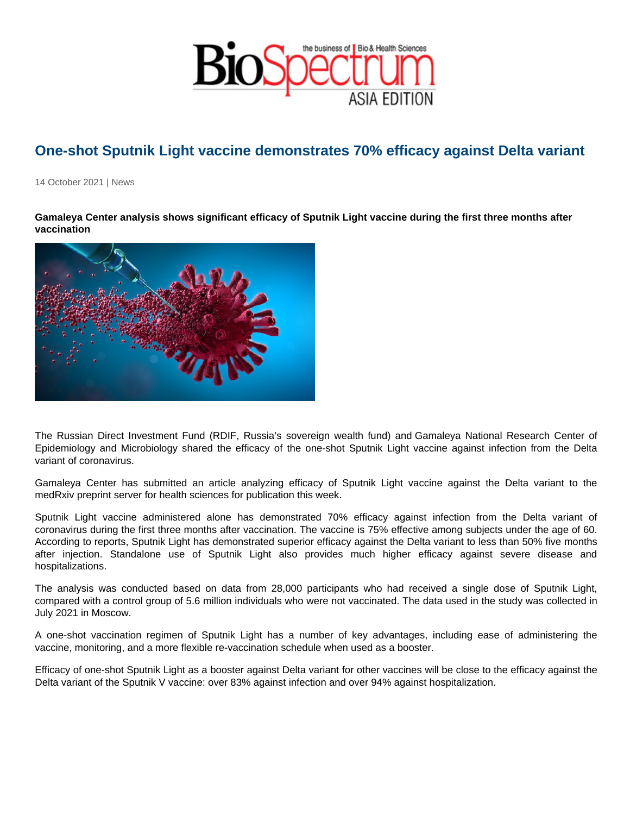## One-shot Sputnik Light vaccine demonstrates 70% efficacy against Delta variant

14 October 2021 | News

Gamaleya Center analysis shows significant efficacy of Sputnik Light vaccine during the first three months after vaccination

The Russian Direct Investment Fund (RDIF, Russia's sovereign wealth fund) and Gamaleya National Research Center of Epidemiology and Microbiology shared the efficacy of the one-shot Sputnik Light vaccine against infection from the Delta variant of coronavirus.

Gamaleya Center has submitted an article analyzing efficacy of Sputnik Light vaccine against the Delta variant to the medRxiv preprint server for health sciences for publication this week.

Sputnik Light vaccine administered alone has demonstrated 70% efficacy against infection from the Delta variant of coronavirus during the first three months after vaccination. The vaccine is 75% effective among subjects under the age of 60. According to reports, Sputnik Light has demonstrated superior efficacy against the Delta variant to less than 50% five months after injection. Standalone use of Sputnik Light also provides much higher efficacy against severe disease and hospitalizations.

The analysis was conducted based on data from 28,000 participants who had received a single dose of Sputnik Light, compared with a control group of 5.6 million individuals who were not vaccinated. The data used in the study was collected in July 2021 in Moscow.

A one-shot vaccination regimen of Sputnik Light has a number of key advantages, including ease of administering the vaccine, monitoring, and a more flexible re-vaccination schedule when used as a booster.

Efficacy of one-shot Sputnik Light as a booster against Delta variant for other vaccines will be close to the efficacy against the Delta variant of the Sputnik V vaccine: over 83% against infection and over 94% against hospitalization.